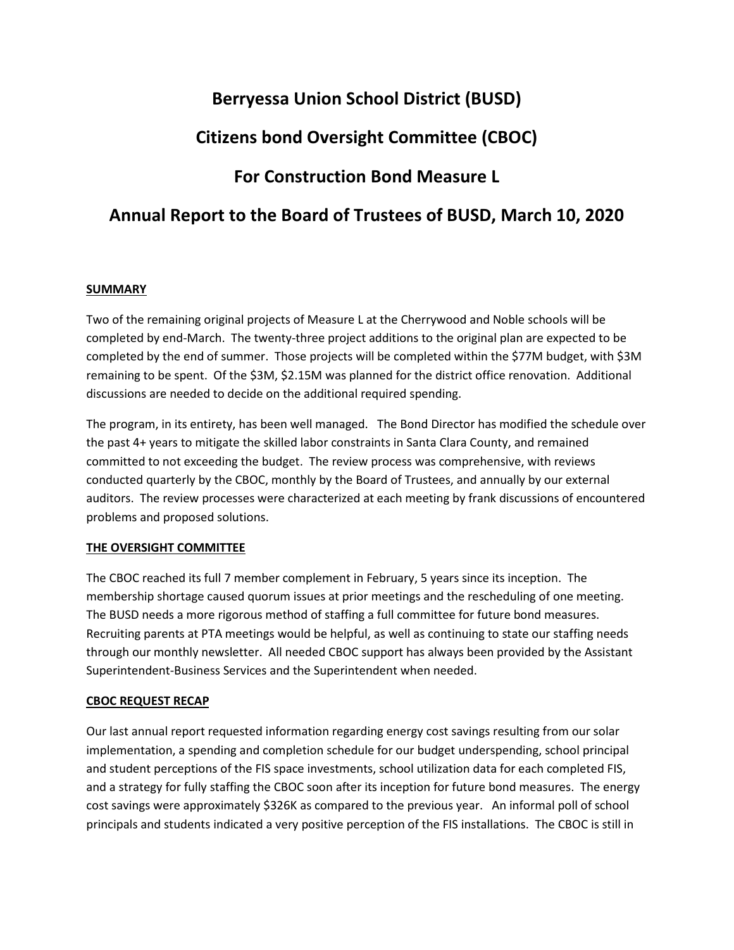## **Berryessa Union School District (BUSD)**

# **Citizens bond Oversight Committee (CBOC)**

# **For Construction Bond Measure L**

### **Annual Report to the Board of Trustees of BUSD, March 10, 2020**

### **SUMMARY**

Two of the remaining original projects of Measure L at the Cherrywood and Noble schools will be completed by end-March. The twenty-three project additions to the original plan are expected to be completed by the end of summer. Those projects will be completed within the \$77M budget, with \$3M remaining to be spent. Of the \$3M, \$2.15M was planned for the district office renovation. Additional discussions are needed to decide on the additional required spending.

The program, in its entirety, has been well managed. The Bond Director has modified the schedule over the past 4+ years to mitigate the skilled labor constraints in Santa Clara County, and remained committed to not exceeding the budget. The review process was comprehensive, with reviews conducted quarterly by the CBOC, monthly by the Board of Trustees, and annually by our external auditors. The review processes were characterized at each meeting by frank discussions of encountered problems and proposed solutions.

### **THE OVERSIGHT COMMITTEE**

The CBOC reached its full 7 member complement in February, 5 years since its inception. The membership shortage caused quorum issues at prior meetings and the rescheduling of one meeting. The BUSD needs a more rigorous method of staffing a full committee for future bond measures. Recruiting parents at PTA meetings would be helpful, as well as continuing to state our staffing needs through our monthly newsletter. All needed CBOC support has always been provided by the Assistant Superintendent-Business Services and the Superintendent when needed.

### **CBOC REQUEST RECAP**

Our last annual report requested information regarding energy cost savings resulting from our solar implementation, a spending and completion schedule for our budget underspending, school principal and student perceptions of the FIS space investments, school utilization data for each completed FIS, and a strategy for fully staffing the CBOC soon after its inception for future bond measures. The energy cost savings were approximately \$326K as compared to the previous year. An informal poll of school principals and students indicated a very positive perception of the FIS installations. The CBOC is still in